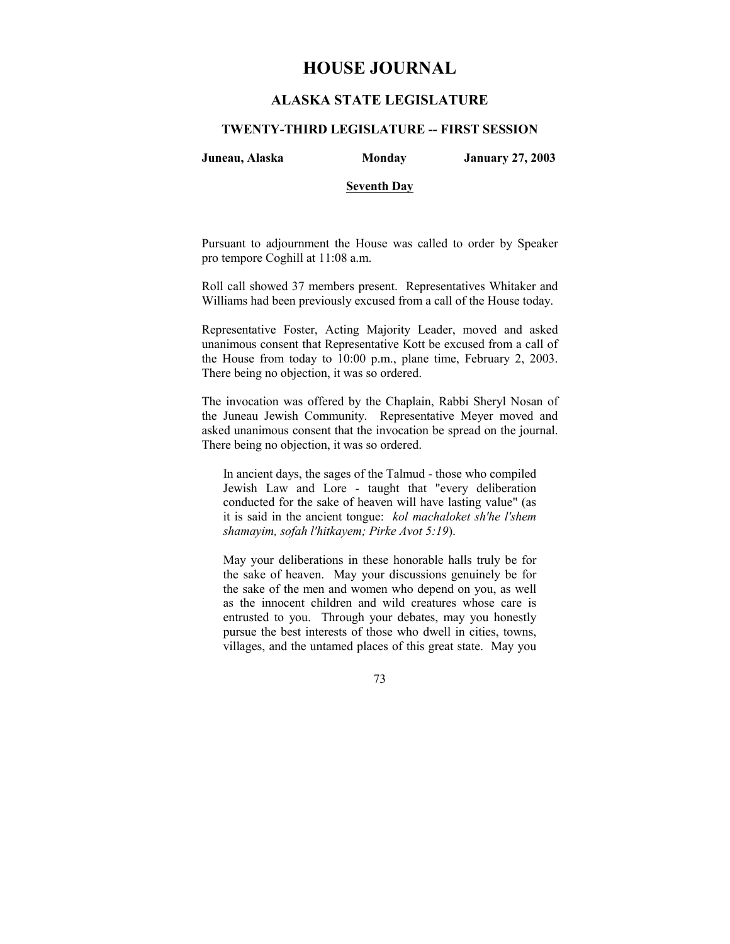# **HOUSE JOURNAL**

## **ALASKA STATE LEGISLATURE**

### **TWENTY-THIRD LEGISLATURE -- FIRST SESSION**

**Juneau, Alaska Monday January 27, 2003** 

#### **Seventh Day**

Pursuant to adjournment the House was called to order by Speaker pro tempore Coghill at 11:08 a.m.

Roll call showed 37 members present. Representatives Whitaker and Williams had been previously excused from a call of the House today.

Representative Foster, Acting Majority Leader, moved and asked unanimous consent that Representative Kott be excused from a call of the House from today to 10:00 p.m., plane time, February 2, 2003. There being no objection, it was so ordered.

The invocation was offered by the Chaplain, Rabbi Sheryl Nosan of the Juneau Jewish Community. Representative Meyer moved and asked unanimous consent that the invocation be spread on the journal. There being no objection, it was so ordered.

In ancient days, the sages of the Talmud - those who compiled Jewish Law and Lore - taught that "every deliberation conducted for the sake of heaven will have lasting value" (as it is said in the ancient tongue: *kol machaloket sh'he l'shem shamayim, sofah l'hitkayem; Pirke Avot 5:19*).

May your deliberations in these honorable halls truly be for the sake of heaven. May your discussions genuinely be for the sake of the men and women who depend on you, as well as the innocent children and wild creatures whose care is entrusted to you. Through your debates, may you honestly pursue the best interests of those who dwell in cities, towns, villages, and the untamed places of this great state. May you

73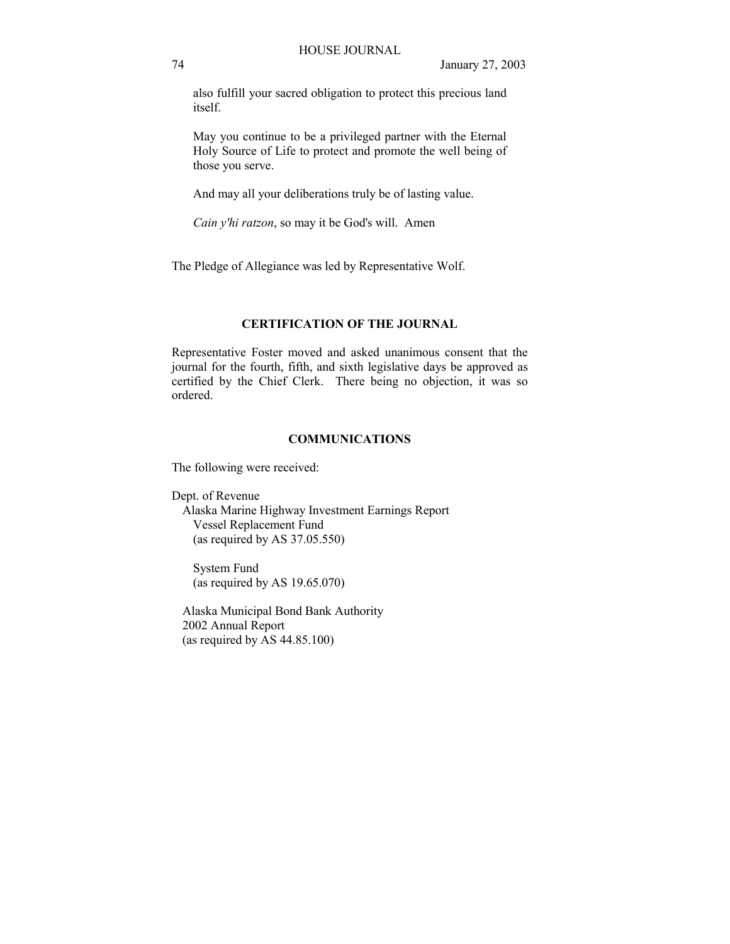also fulfill your sacred obligation to protect this precious land itself.

May you continue to be a privileged partner with the Eternal Holy Source of Life to protect and promote the well being of those you serve.

And may all your deliberations truly be of lasting value.

*Cain y'hi ratzon*, so may it be God's will. Amen

The Pledge of Allegiance was led by Representative Wolf.

## **CERTIFICATION OF THE JOURNAL**

Representative Foster moved and asked unanimous consent that the journal for the fourth, fifth, and sixth legislative days be approved as certified by the Chief Clerk. There being no objection, it was so ordered.

## **COMMUNICATIONS**

The following were received:

Dept. of Revenue Alaska Marine Highway Investment Earnings Report Vessel Replacement Fund (as required by AS 37.05.550)

 System Fund (as required by AS 19.65.070)

 Alaska Municipal Bond Bank Authority 2002 Annual Report (as required by AS 44.85.100)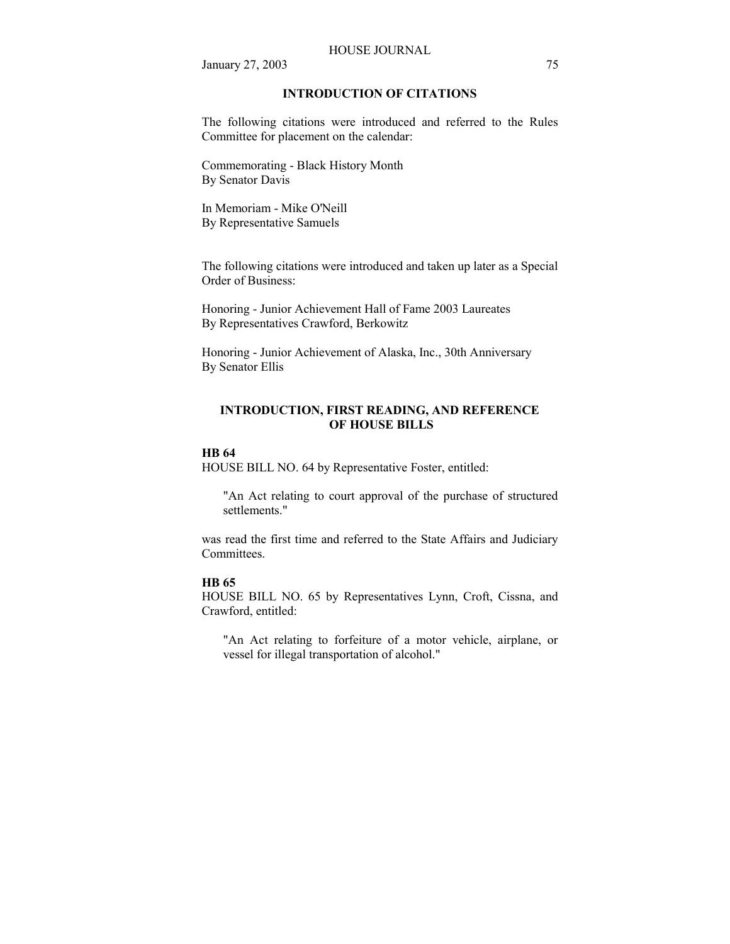#### HOUSE JOURNAL

January 27, 2003 75

## **INTRODUCTION OF CITATIONS**

The following citations were introduced and referred to the Rules Committee for placement on the calendar:

Commemorating - Black History Month By Senator Davis

In Memoriam - Mike O'Neill By Representative Samuels

The following citations were introduced and taken up later as a Special Order of Business:

Honoring - Junior Achievement Hall of Fame 2003 Laureates By Representatives Crawford, Berkowitz

Honoring - Junior Achievement of Alaska, Inc., 30th Anniversary By Senator Ellis

## **INTRODUCTION, FIRST READING, AND REFERENCE OF HOUSE BILLS**

## **HB 64**

HOUSE BILL NO. 64 by Representative Foster, entitled:

"An Act relating to court approval of the purchase of structured settlements."

was read the first time and referred to the State Affairs and Judiciary Committees.

## **HB 65**

HOUSE BILL NO. 65 by Representatives Lynn, Croft, Cissna, and Crawford, entitled:

"An Act relating to forfeiture of a motor vehicle, airplane, or vessel for illegal transportation of alcohol."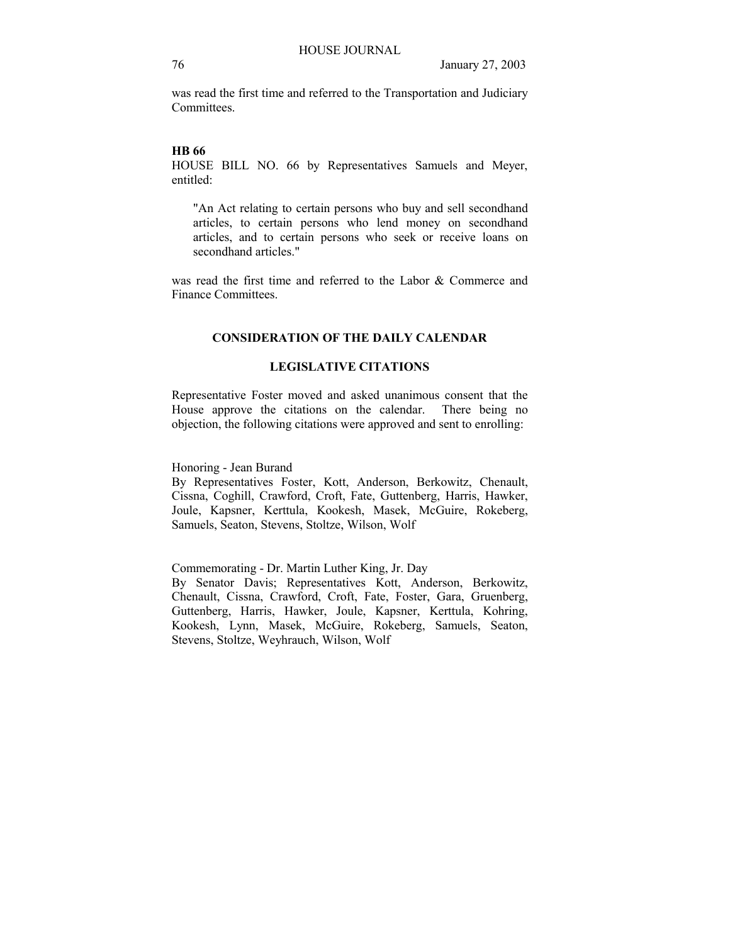was read the first time and referred to the Transportation and Judiciary **Committees** 

## **HB 66**

HOUSE BILL NO. 66 by Representatives Samuels and Meyer, entitled:

"An Act relating to certain persons who buy and sell secondhand articles, to certain persons who lend money on secondhand articles, and to certain persons who seek or receive loans on secondhand articles."

was read the first time and referred to the Labor & Commerce and Finance Committees.

## **CONSIDERATION OF THE DAILY CALENDAR**

## **LEGISLATIVE CITATIONS**

Representative Foster moved and asked unanimous consent that the House approve the citations on the calendar. There being no objection, the following citations were approved and sent to enrolling:

Honoring - Jean Burand

By Representatives Foster, Kott, Anderson, Berkowitz, Chenault, Cissna, Coghill, Crawford, Croft, Fate, Guttenberg, Harris, Hawker, Joule, Kapsner, Kerttula, Kookesh, Masek, McGuire, Rokeberg, Samuels, Seaton, Stevens, Stoltze, Wilson, Wolf

Commemorating - Dr. Martin Luther King, Jr. Day By Senator Davis; Representatives Kott, Anderson, Berkowitz, Chenault, Cissna, Crawford, Croft, Fate, Foster, Gara, Gruenberg, Guttenberg, Harris, Hawker, Joule, Kapsner, Kerttula, Kohring, Kookesh, Lynn, Masek, McGuire, Rokeberg, Samuels, Seaton, Stevens, Stoltze, Weyhrauch, Wilson, Wolf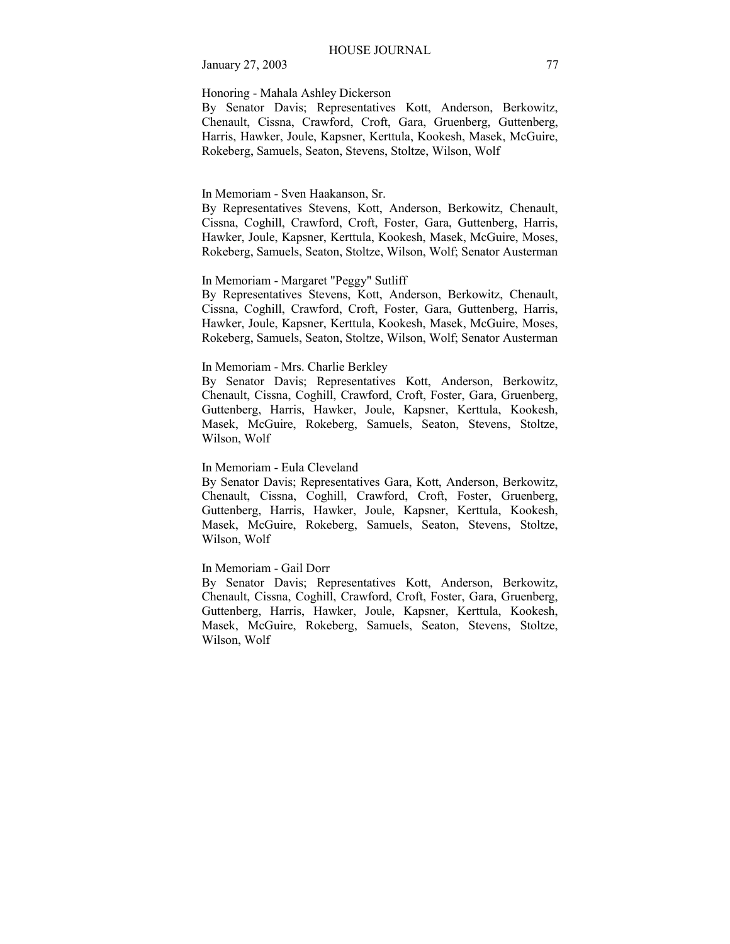January 27, 2003 77

### Honoring - Mahala Ashley Dickerson

By Senator Davis; Representatives Kott, Anderson, Berkowitz, Chenault, Cissna, Crawford, Croft, Gara, Gruenberg, Guttenberg, Harris, Hawker, Joule, Kapsner, Kerttula, Kookesh, Masek, McGuire, Rokeberg, Samuels, Seaton, Stevens, Stoltze, Wilson, Wolf

#### In Memoriam - Sven Haakanson, Sr.

By Representatives Stevens, Kott, Anderson, Berkowitz, Chenault, Cissna, Coghill, Crawford, Croft, Foster, Gara, Guttenberg, Harris, Hawker, Joule, Kapsner, Kerttula, Kookesh, Masek, McGuire, Moses, Rokeberg, Samuels, Seaton, Stoltze, Wilson, Wolf; Senator Austerman

## In Memoriam - Margaret "Peggy" Sutliff

By Representatives Stevens, Kott, Anderson, Berkowitz, Chenault, Cissna, Coghill, Crawford, Croft, Foster, Gara, Guttenberg, Harris, Hawker, Joule, Kapsner, Kerttula, Kookesh, Masek, McGuire, Moses, Rokeberg, Samuels, Seaton, Stoltze, Wilson, Wolf; Senator Austerman

## In Memoriam - Mrs. Charlie Berkley

By Senator Davis; Representatives Kott, Anderson, Berkowitz, Chenault, Cissna, Coghill, Crawford, Croft, Foster, Gara, Gruenberg, Guttenberg, Harris, Hawker, Joule, Kapsner, Kerttula, Kookesh, Masek, McGuire, Rokeberg, Samuels, Seaton, Stevens, Stoltze, Wilson, Wolf

## In Memoriam - Eula Cleveland

By Senator Davis; Representatives Gara, Kott, Anderson, Berkowitz, Chenault, Cissna, Coghill, Crawford, Croft, Foster, Gruenberg, Guttenberg, Harris, Hawker, Joule, Kapsner, Kerttula, Kookesh, Masek, McGuire, Rokeberg, Samuels, Seaton, Stevens, Stoltze, Wilson, Wolf

## In Memoriam - Gail Dorr

By Senator Davis; Representatives Kott, Anderson, Berkowitz, Chenault, Cissna, Coghill, Crawford, Croft, Foster, Gara, Gruenberg, Guttenberg, Harris, Hawker, Joule, Kapsner, Kerttula, Kookesh, Masek, McGuire, Rokeberg, Samuels, Seaton, Stevens, Stoltze, Wilson, Wolf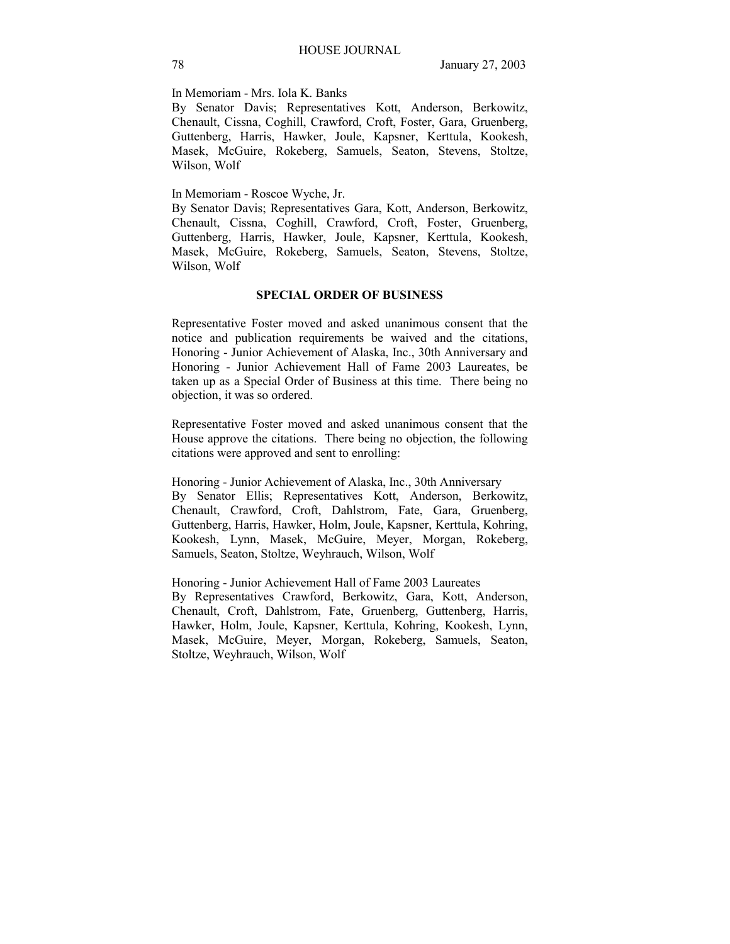In Memoriam - Mrs. Iola K. Banks

By Senator Davis; Representatives Kott, Anderson, Berkowitz, Chenault, Cissna, Coghill, Crawford, Croft, Foster, Gara, Gruenberg, Guttenberg, Harris, Hawker, Joule, Kapsner, Kerttula, Kookesh, Masek, McGuire, Rokeberg, Samuels, Seaton, Stevens, Stoltze, Wilson, Wolf

In Memoriam - Roscoe Wyche, Jr.

By Senator Davis; Representatives Gara, Kott, Anderson, Berkowitz, Chenault, Cissna, Coghill, Crawford, Croft, Foster, Gruenberg, Guttenberg, Harris, Hawker, Joule, Kapsner, Kerttula, Kookesh, Masek, McGuire, Rokeberg, Samuels, Seaton, Stevens, Stoltze, Wilson, Wolf

## **SPECIAL ORDER OF BUSINESS**

Representative Foster moved and asked unanimous consent that the notice and publication requirements be waived and the citations, Honoring - Junior Achievement of Alaska, Inc., 30th Anniversary and Honoring - Junior Achievement Hall of Fame 2003 Laureates, be taken up as a Special Order of Business at this time. There being no objection, it was so ordered.

Representative Foster moved and asked unanimous consent that the House approve the citations. There being no objection, the following citations were approved and sent to enrolling:

Honoring - Junior Achievement of Alaska, Inc., 30th Anniversary By Senator Ellis; Representatives Kott, Anderson, Berkowitz, Chenault, Crawford, Croft, Dahlstrom, Fate, Gara, Gruenberg, Guttenberg, Harris, Hawker, Holm, Joule, Kapsner, Kerttula, Kohring, Kookesh, Lynn, Masek, McGuire, Meyer, Morgan, Rokeberg, Samuels, Seaton, Stoltze, Weyhrauch, Wilson, Wolf

Honoring - Junior Achievement Hall of Fame 2003 Laureates By Representatives Crawford, Berkowitz, Gara, Kott, Anderson, Chenault, Croft, Dahlstrom, Fate, Gruenberg, Guttenberg, Harris, Hawker, Holm, Joule, Kapsner, Kerttula, Kohring, Kookesh, Lynn, Masek, McGuire, Meyer, Morgan, Rokeberg, Samuels, Seaton, Stoltze, Weyhrauch, Wilson, Wolf